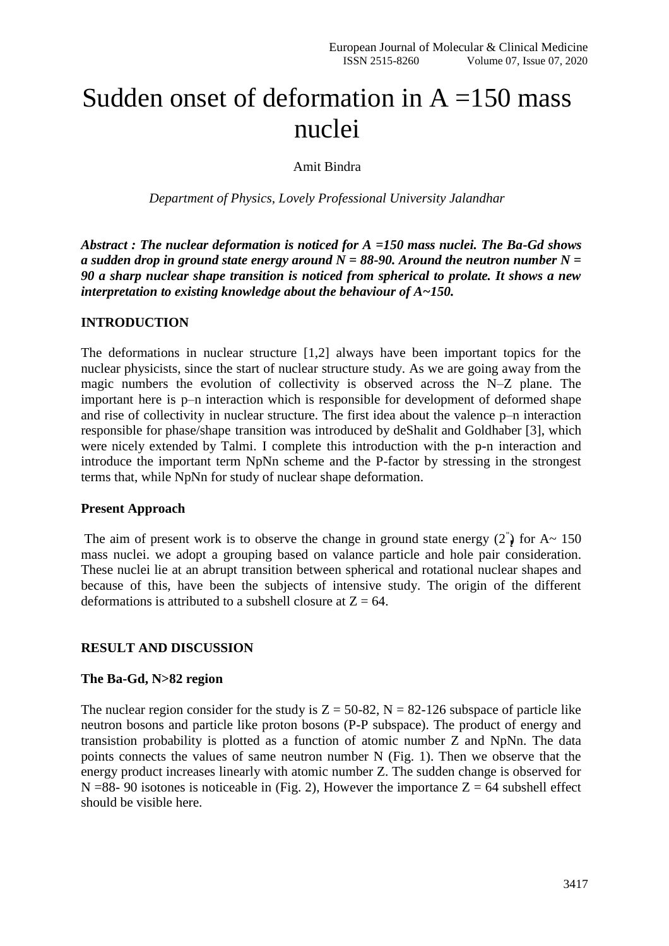# Sudden onset of deformation in  $A = 150$  mass nuclei

Amit Bindra

*Department of Physics, Lovely Professional University Jalandhar*

*Abstract : The nuclear deformation is noticed for A =150 mass nuclei. The Ba-Gd shows a sudden drop in ground state energy around N = 88-90. Around the neutron number N = 90 a sharp nuclear shape transition is noticed from spherical to prolate. It shows a new interpretation to existing knowledge about the behaviour of A~150.*

#### **INTRODUCTION**

The deformations in nuclear structure [1,2] always have been important topics for the nuclear physicists, since the start of nuclear structure study. As we are going away from the magic numbers the evolution of collectivity is observed across the N–Z plane. The important here is p–n interaction which is responsible for development of deformed shape and rise of collectivity in nuclear structure. The first idea about the valence p–n interaction responsible for phase/shape transition was introduced by deShalit and Goldhaber [3], which were nicely extended by Talmi. I complete this introduction with the p-n interaction and introduce the important term NpNn scheme and the P-factor by stressing in the strongest terms that, while NpNn for study of nuclear shape deformation.

### **Present Approach**

The aim of present work is to observe the change in ground state energy  $(2)$  for A $\sim$  150 mass nuclei. we adopt a grouping based on valance particle and hole pair consideration. These nuclei lie at an abrupt transition between spherical and rotational nuclear shapes and because of this, have been the subjects of intensive study. The origin of the different deformations is attributed to a subshell closure at  $Z = 64$ .

### **RESULT AND DISCUSSION**

### **The Ba-Gd, N>82 region**

The nuclear region consider for the study is  $Z = 50{\text -}82$ ,  $N = 82{\text -}126$  subspace of particle like neutron bosons and particle like proton bosons (P-P subspace). The product of energy and transistion probability is plotted as a function of atomic number Z and NpNn. The data points connects the values of same neutron number N (Fig. 1). Then we observe that the energy product increases linearly with atomic number Z. The sudden change is observed for N =88- 90 isotones is noticeable in (Fig. 2), However the importance  $Z = 64$  subshell effect should be visible here.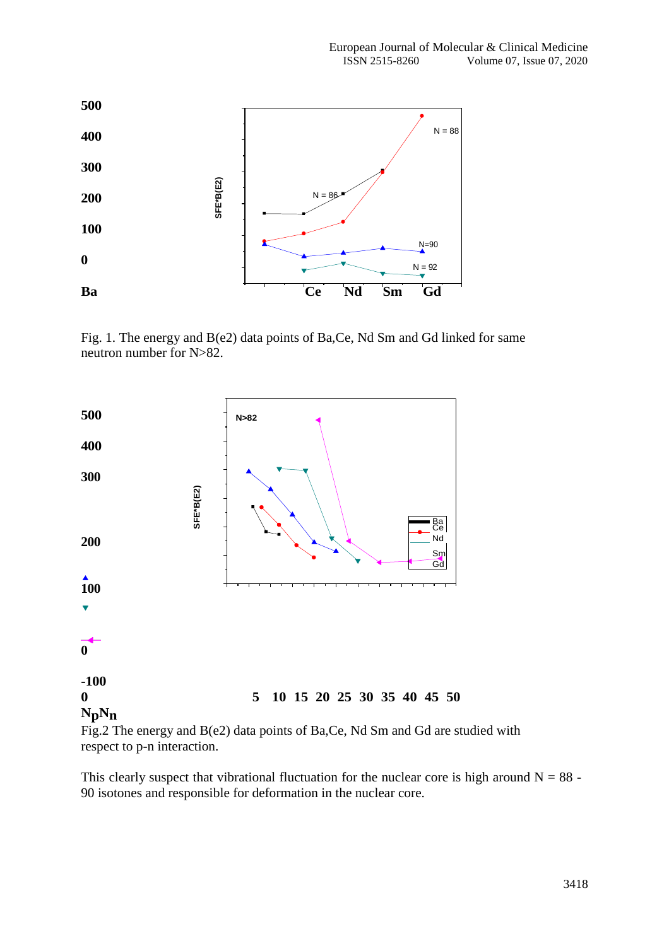

Fig. 1. The energy and B(e2) data points of Ba,Ce, Nd Sm and Gd linked for same neutron number for N>82.



Fig.2 The energy and B(e2) data points of Ba,Ce, Nd Sm and Gd are studied with respect to p-n interaction.

This clearly suspect that vibrational fluctuation for the nuclear core is high around  $N = 88$  -90 isotones and responsible for deformation in the nuclear core.